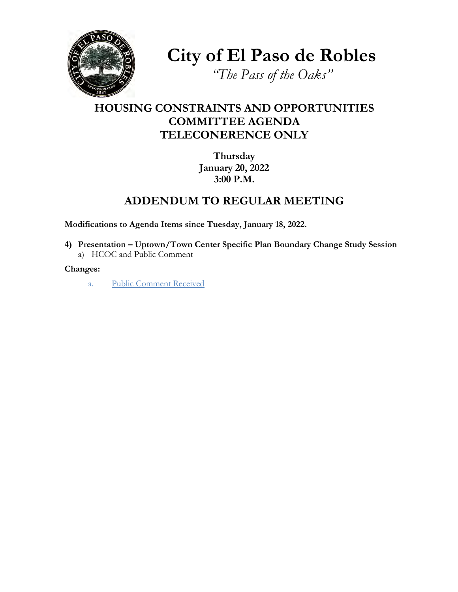

**City of El Paso de Robles**

*"The Pass of the Oaks"*

## **HOUSING CONSTRAINTS AND OPPORTUNITIES COMMITTEE AGENDA TELECONERENCE ONLY**

**Thursday January 20, 2022 3:00 P.M.**

## **ADDENDUM TO REGULAR MEETING**

**Modifications to Agenda Items since Tuesday, January 18, 2022.**

**4) Presentation – Uptown/Town Center Specific Plan Boundary Change Study Session**  a) HCOC and Public Comment

**Changes:**

a. [Public Comment Received](https://www.prcity.com/DocumentCenter/View/33055/220120-Public-Comments)